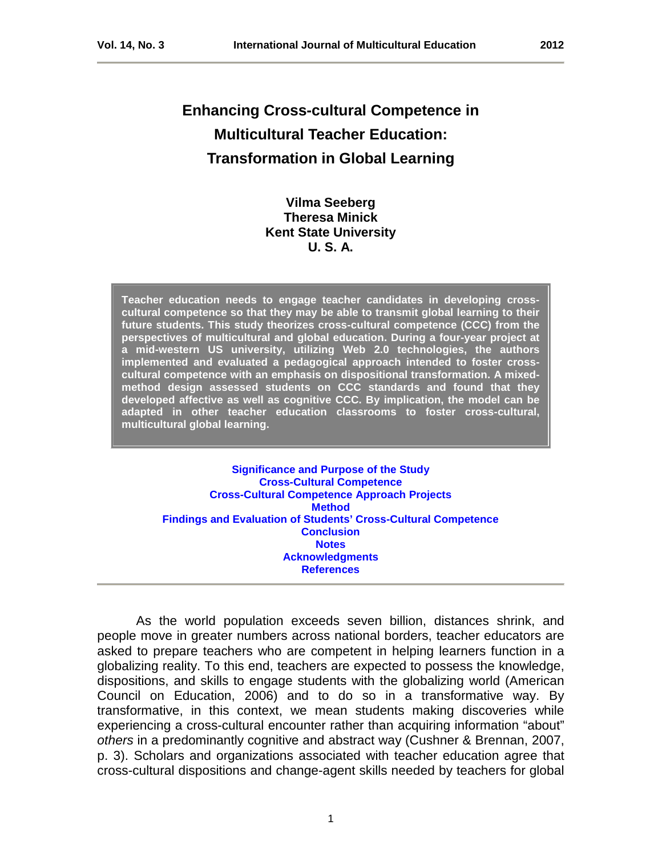# **Enhancing Cross-cultural Competence in Multicultural Teacher Education: Transformation in Global Learning**

# **Vilma Seeberg Theresa Minick Kent State University U. S. A.**

**Teacher education needs to engage teacher candidates in developing crosscultural competence so that they may be able to transmit global learning to their future students. This study theorizes cross-cultural competence (CCC) from the perspectives of multicultural and global education. During a four-year project at a mid-western US university, utilizing Web 2.0 technologies, the authors implemented and evaluated a pedagogical approach intended to foster crosscultural competence with an emphasis on dispositional transformation. A mixedmethod design assessed students on CCC standards and found that they developed affective as well as cognitive CCC. By implication, the model can be adapted in other teacher education classrooms to foster cross-cultural, multicultural global learning.**

**[Significance and Purpose of the Study](#page-1-0) [Cross-Cultural Competence](#page-2-0) [Cross-Cultural Competence Approach Projects](#page-5-0) [Method](#page-7-0) [Findings and Evaluation of Students' Cross-Cultural Competence](#page-8-0) [Conclusion](#page-16-0) [Notes](#page-17-0) Acknowledgments [References](#page-17-1)**

As the world population exceeds seven billion, distances shrink, and people move in greater numbers across national borders, teacher educators are asked to prepare teachers who are competent in helping learners function in a globalizing reality. To this end, teachers are expected to possess the knowledge, dispositions, and skills to engage students with the globalizing world (American Council on Education, 2006) and to do so in a transformative way. By transformative, in this context, we mean students making discoveries while experiencing a cross-cultural encounter rather than acquiring information "about" *others* in a predominantly cognitive and abstract way (Cushner & Brennan, 2007, p. 3). Scholars and organizations associated with teacher education agree that cross-cultural dispositions and change-agent skills needed by teachers for global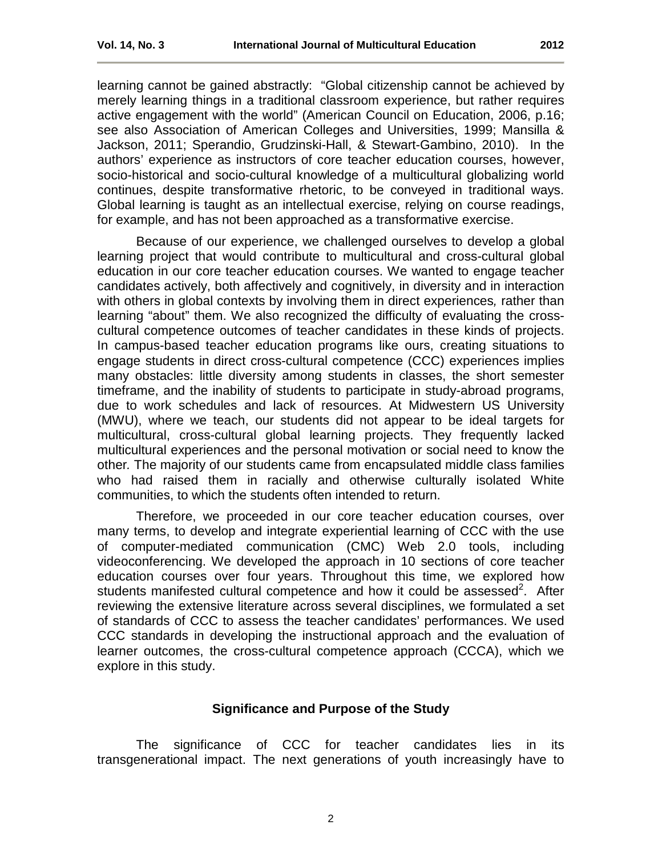learning cannot be gained abstractly: "Global citizenship cannot be achieved by merely learning things in a traditional classroom experience, but rather requires active engagement with the world" (American Council on Education, 2006, p.16; see also Association of American Colleges and Universities, 1999; Mansilla & Jackson, 2011; Sperandio, Grudzinski-Hall, & Stewart-Gambino, 2010). In the authors' experience as instructors of core teacher education courses, however, socio-historical and socio-cultural knowledge of a multicultural globalizing world continues, despite transformative rhetoric, to be conveyed in traditional ways. Global learning is taught as an intellectual exercise, relying on course readings, for example, and has not been approached as a transformative exercise.

Because of our experience, we challenged ourselves to develop a global learning project that would contribute to multicultural and cross-cultural global education in our core teacher education courses. We wanted to engage teacher candidates actively, both affectively and cognitively, in diversity and in interaction with others in global contexts by involving them in direct experiences*,* rather than learning "about" them. We also recognized the difficulty of evaluating the crosscultural competence outcomes of teacher candidates in these kinds of projects. In campus-based teacher education programs like ours, creating situations to engage students in direct cross-cultural competence (CCC) experiences implies many obstacles: little diversity among students in classes, the short semester timeframe, and the inability of students to participate in study-abroad programs, due to work schedules and lack of resources. At Midwestern US University (MWU), where we teach, our students did not appear to be ideal targets for multicultural, cross-cultural global learning projects. They frequently lacked multicultural experiences and the personal motivation or social need to know the other*.* The majority of our students came from encapsulated middle class families who had raised them in racially and otherwise culturally isolated White communities, to which the students often intended to return.

Therefore, we proceeded in our core teacher education courses, over many terms, to develop and integrate experiential learning of CCC with the use of computer-mediated communication (CMC) Web 2.0 tools, including videoconferencing. We developed the approach in 10 sections of core teacher education courses over four years. Throughout this time, we explored how students manifested cultural competence and how it could be assessed<sup>2</sup>. After reviewing the extensive literature across several disciplines, we formulated a set of standards of CCC to assess the teacher candidates' performances. We used CCC standards in developing the instructional approach and the evaluation of learner outcomes, the cross-cultural competence approach (CCCA), which we explore in this study.

# **Significance and Purpose of the Study**

<span id="page-1-0"></span>The significance of CCC for teacher candidates lies in its transgenerational impact. The next generations of youth increasingly have to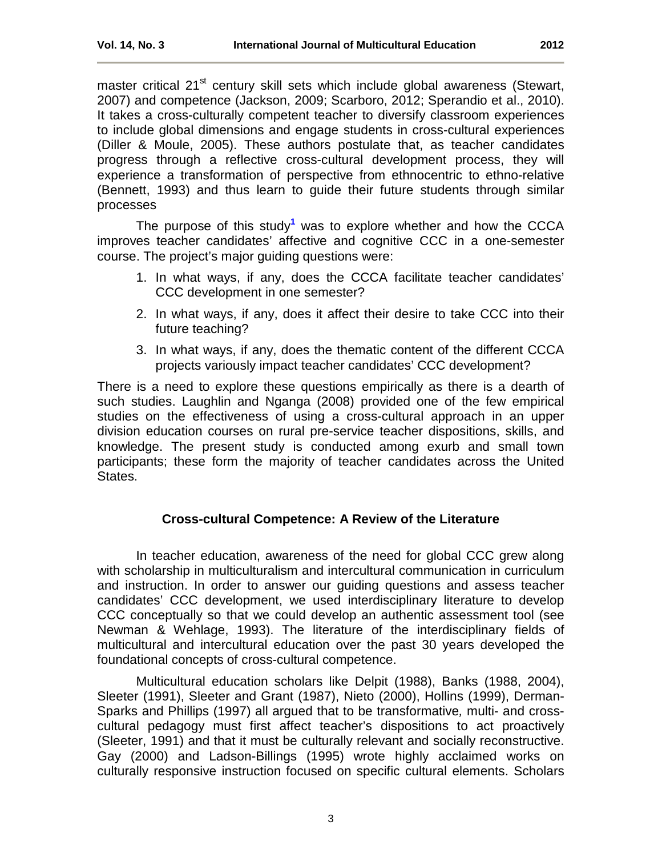master critical 21<sup>st</sup> century skill sets which include global awareness (Stewart, 2007) and competence (Jackson, 2009; Scarboro, 2012; Sperandio et al., 2010). It takes a cross-culturally competent teacher to diversify classroom experiences to include global dimensions and engage students in cross-cultural experiences (Diller & Moule, 2005). These authors postulate that, as teacher candidates progress through a reflective cross-cultural development process, they will experience a transformation of perspective from ethnocentric to ethno-relative (Bennett, 1993) and thus learn to guide their future students through similar processes

The purpose of this study**[1](#page-17-2)** was to explore whether and how the CCCA improves teacher candidates' affective and cognitive CCC in a one-semester course. The project's major guiding questions were:

- 1. In what ways, if any, does the CCCA facilitate teacher candidates' CCC development in one semester?
- 2. In what ways, if any, does it affect their desire to take CCC into their future teaching?
- 3. In what ways, if any, does the thematic content of the different CCCA projects variously impact teacher candidates' CCC development?

There is a need to explore these questions empirically as there is a dearth of such studies. Laughlin and Nganga (2008) provided one of the few empirical studies on the effectiveness of using a cross-cultural approach in an upper division education courses on rural pre-service teacher dispositions, skills, and knowledge. The present study is conducted among exurb and small town participants; these form the majority of teacher candidates across the United States.

# **Cross-cultural Competence: A Review of the Literature**

<span id="page-2-0"></span>In teacher education, awareness of the need for global CCC grew along with scholarship in multiculturalism and intercultural communication in curriculum and instruction. In order to answer our guiding questions and assess teacher candidates' CCC development, we used interdisciplinary literature to develop CCC conceptually so that we could develop an authentic assessment tool (see Newman & Wehlage, 1993). The literature of the interdisciplinary fields of multicultural and intercultural education over the past 30 years developed the foundational concepts of cross-cultural competence.

Multicultural education scholars like Delpit (1988), Banks (1988, 2004), Sleeter (1991), Sleeter and Grant (1987), Nieto (2000), Hollins (1999), Derman-Sparks and Phillips (1997) all argued that to be transformative*,* multi- and crosscultural pedagogy must first affect teacher's dispositions to act proactively (Sleeter, 1991) and that it must be culturally relevant and socially reconstructive. Gay (2000) and Ladson-Billings (1995) wrote highly acclaimed works on culturally responsive instruction focused on specific cultural elements. Scholars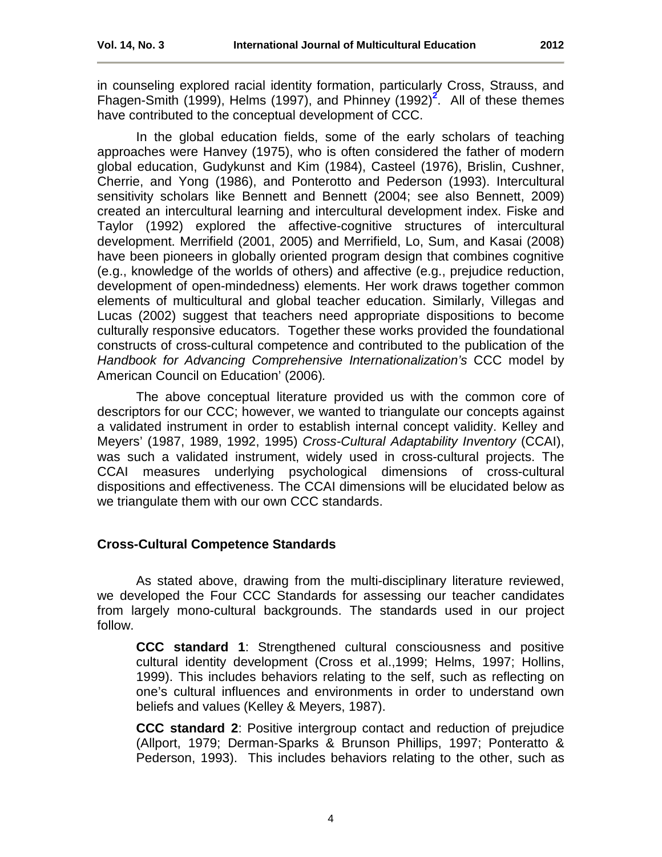in counseling explored racial identity formation, particularly Cross, Strauss, and Fhagen-Smith (1999), Helms (1997), and Phinney (199[2](#page-17-3))<sup>2</sup>. All of these themes have contributed to the conceptual development of CCC.

In the global education fields, some of the early scholars of teaching approaches were Hanvey (1975), who is often considered the father of modern global education, Gudykunst and Kim (1984), Casteel (1976), Brislin, Cushner, Cherrie, and Yong (1986), and Ponterotto and Pederson (1993). Intercultural sensitivity scholars like Bennett and Bennett (2004; see also Bennett, 2009) created an intercultural learning and intercultural development index. Fiske and Taylor (1992) explored the affective-cognitive structures of intercultural development. Merrifield (2001, 2005) and Merrifield, Lo, Sum, and Kasai (2008) have been pioneers in globally oriented program design that combines cognitive (e.g., knowledge of the worlds of others) and affective (e.g., prejudice reduction, development of open-mindedness) elements. Her work draws together common elements of multicultural and global teacher education. Similarly, Villegas and Lucas (2002) suggest that teachers need appropriate dispositions to become culturally responsive educators. Together these works provided the foundational constructs of cross-cultural competence and contributed to the publication of the *Handbook for Advancing Comprehensive Internationalization's* CCC model by American Council on Education' (2006)*.*

The above conceptual literature provided us with the common core of descriptors for our CCC; however, we wanted to triangulate our concepts against a validated instrument in order to establish internal concept validity. Kelley and Meyers' (1987, 1989, 1992, 1995) *Cross-Cultural Adaptability Inventory* (CCAI), was such a validated instrument, widely used in cross-cultural projects. The CCAI measures underlying psychological dimensions of cross-cultural dispositions and effectiveness. The CCAI dimensions will be elucidated below as we triangulate them with our own CCC standards.

# **Cross-Cultural Competence Standards**

As stated above, drawing from the multi-disciplinary literature reviewed, we developed the Four CCC Standards for assessing our teacher candidates from largely mono-cultural backgrounds. The standards used in our project follow.

**CCC standard 1**: Strengthened cultural consciousness and positive cultural identity development (Cross et al.,1999; Helms, 1997; Hollins, 1999). This includes behaviors relating to the self, such as reflecting on one's cultural influences and environments in order to understand own beliefs and values (Kelley & Meyers, 1987).

**CCC standard 2**: Positive intergroup contact and reduction of prejudice (Allport, 1979; Derman-Sparks & Brunson Phillips, 1997; Ponteratto & Pederson, 1993). This includes behaviors relating to the other, such as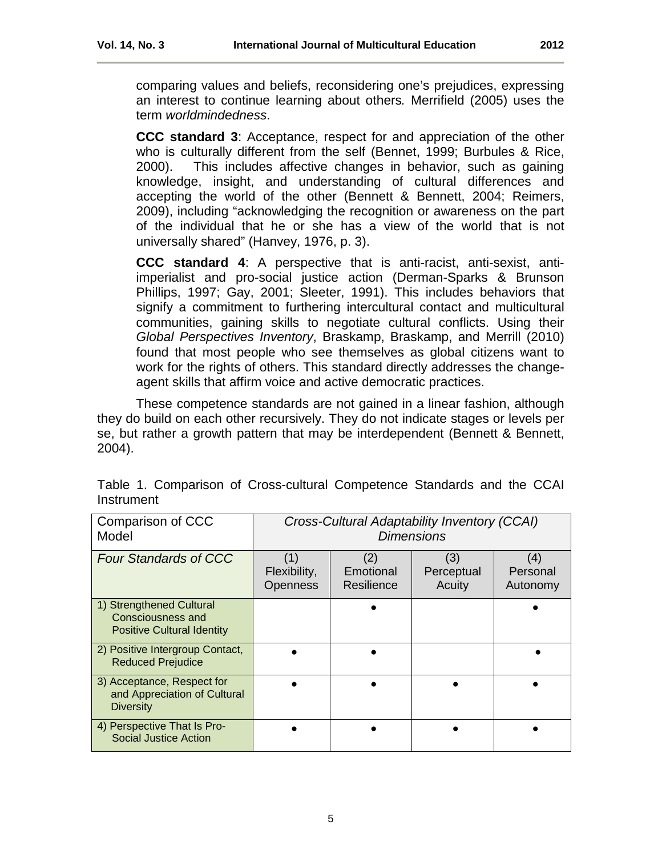**CCC standard 3**: Acceptance, respect for and appreciation of the other who is culturally different from the self (Bennet, 1999; Burbules & Rice, 2000). This includes affective changes in behavior, such as gaining knowledge, insight, and understanding of cultural differences and accepting the world of the other (Bennett & Bennett, 2004; Reimers, 2009), including "acknowledging the recognition or awareness on the part of the individual that he or she has a view of the world that is not universally shared" (Hanvey, 1976, p. 3).

**CCC standard 4**: A perspective that is anti-racist, anti-sexist, antiimperialist and pro-social justice action (Derman-Sparks & Brunson Phillips, 1997; Gay, 2001; Sleeter, 1991). This includes behaviors that signify a commitment to furthering intercultural contact and multicultural communities, gaining skills to negotiate cultural conflicts. Using their *Global Perspectives Inventory*, Braskamp, Braskamp, and Merrill (2010) found that most people who see themselves as global citizens want to work for the rights of others. This standard directly addresses the changeagent skills that affirm voice and active democratic practices.

These competence standards are not gained in a linear fashion, although they do build on each other recursively. They do not indicate stages or levels per se, but rather a growth pattern that may be interdependent (Bennett & Bennett, 2004).

| Comparison of CCC<br>Model                                                         | Cross-Cultural Adaptability Inventory (CCAI)<br><b>Dimensions</b> |                                |                             |                             |
|------------------------------------------------------------------------------------|-------------------------------------------------------------------|--------------------------------|-----------------------------|-----------------------------|
| <b>Four Standards of CCC</b>                                                       | (1)<br>Flexibility,<br>Openness                                   | (2)<br>Emotional<br>Resilience | (3)<br>Perceptual<br>Acuity | (4)<br>Personal<br>Autonomy |
| 1) Strengthened Cultural<br>Consciousness and<br><b>Positive Cultural Identity</b> |                                                                   |                                |                             |                             |
| 2) Positive Intergroup Contact,<br><b>Reduced Prejudice</b>                        |                                                                   |                                |                             |                             |
| 3) Acceptance, Respect for<br>and Appreciation of Cultural<br><b>Diversity</b>     |                                                                   |                                |                             |                             |
| 4) Perspective That Is Pro-<br><b>Social Justice Action</b>                        |                                                                   |                                |                             |                             |

Table 1. Comparison of Cross-cultural Competence Standards and the CCAI **Instrument**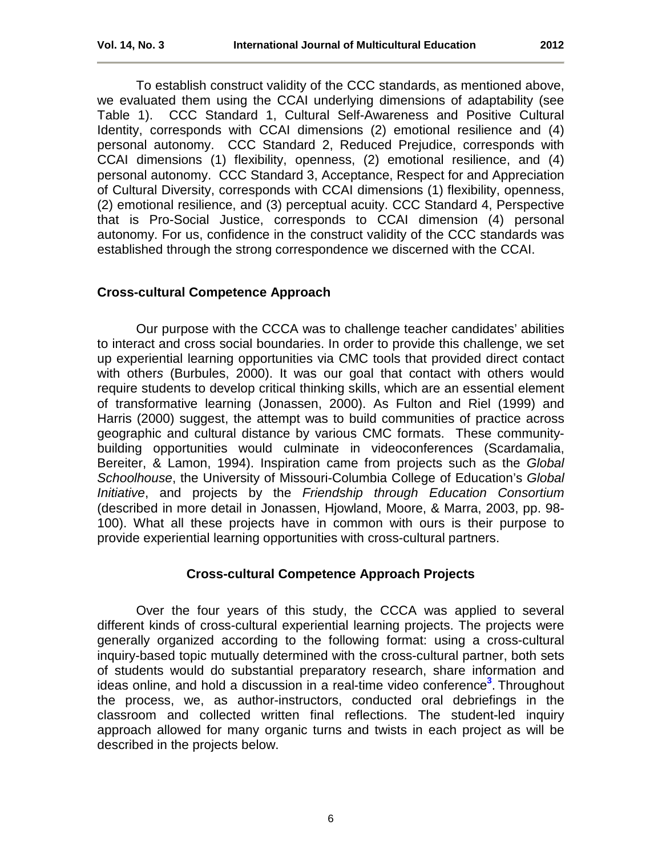To establish construct validity of the CCC standards, as mentioned above, we evaluated them using the CCAI underlying dimensions of adaptability (see Table 1). CCC Standard 1, Cultural Self-Awareness and Positive Cultural Identity, corresponds with CCAI dimensions (2) emotional resilience and (4) personal autonomy. CCC Standard 2, Reduced Prejudice, corresponds with CCAI dimensions (1) flexibility, openness, (2) emotional resilience, and (4) personal autonomy. CCC Standard 3, Acceptance, Respect for and Appreciation of Cultural Diversity, corresponds with CCAI dimensions (1) flexibility, openness, (2) emotional resilience, and (3) perceptual acuity. CCC Standard 4, Perspective that is Pro-Social Justice, corresponds to CCAI dimension (4) personal autonomy. For us, confidence in the construct validity of the CCC standards was established through the strong correspondence we discerned with the CCAI.

# **Cross-cultural Competence Approach**

Our purpose with the CCCA was to challenge teacher candidates' abilities to interact and cross social boundaries. In order to provide this challenge, we set up experiential learning opportunities via CMC tools that provided direct contact with other*s* (Burbules, 2000). It was our goal that contact with others would require students to develop critical thinking skills, which are an essential element of transformative learning (Jonassen, 2000). As Fulton and Riel (1999) and Harris (2000) suggest, the attempt was to build communities of practice across geographic and cultural distance by various CMC formats. These communitybuilding opportunities would culminate in videoconferences (Scardamalia, Bereiter, & Lamon, 1994). Inspiration came from projects such as the *Global Schoolhouse*, the University of Missouri-Columbia College of Education's *Global Initiative*, and projects by the *Friendship through Education Consortium* (described in more detail in Jonassen, Hjowland, Moore, & Marra, 2003, pp. 98- 100). What all these projects have in common with ours is their purpose to provide experiential learning opportunities with cross-cultural partners.

# <span id="page-5-0"></span>**Cross-cultural Competence Approach Projects**

Over the four years of this study, the CCCA was applied to several different kinds of cross-cultural experiential learning projects. The projects were generally organized according to the following format: using a cross-cultural inquiry-based topic mutually determined with the cross-cultural partner, both sets of students would do substantial preparatory research, share information and ideas online, and hold a discussion in a real-time video conference**[3](#page-17-4)** . Throughout the process, we, as author-instructors, conducted oral debriefings in the classroom and collected written final reflections. The student-led inquiry approach allowed for many organic turns and twists in each project as will be described in the projects below.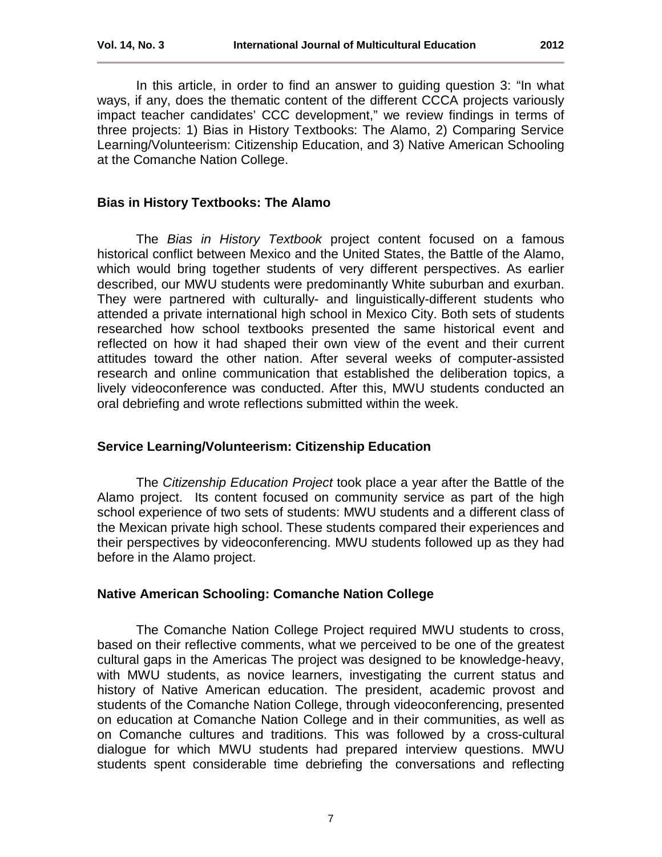In this article, in order to find an answer to guiding question 3: "In what ways, if any, does the thematic content of the different CCCA projects variously impact teacher candidates' CCC development," we review findings in terms of three projects: 1) Bias in History Textbooks: The Alamo, 2) Comparing Service Learning/Volunteerism: Citizenship Education, and 3) Native American Schooling at the Comanche Nation College.

# **Bias in History Textbooks: The Alamo**

The *Bias in History Textbook* project content focused on a famous historical conflict between Mexico and the United States, the Battle of the Alamo, which would bring together students of very different perspectives. As earlier described, our MWU students were predominantly White suburban and exurban. They were partnered with culturally- and linguistically-different students who attended a private international high school in Mexico City. Both sets of students researched how school textbooks presented the same historical event and reflected on how it had shaped their own view of the event and their current attitudes toward the other nation. After several weeks of computer-assisted research and online communication that established the deliberation topics, a lively videoconference was conducted. After this, MWU students conducted an oral debriefing and wrote reflections submitted within the week.

# **Service Learning/Volunteerism: Citizenship Education**

The *Citizenship Education Project* took place a year after the Battle of the Alamo project. Its content focused on community service as part of the high school experience of two sets of students: MWU students and a different class of the Mexican private high school. These students compared their experiences and their perspectives by videoconferencing. MWU students followed up as they had before in the Alamo project.

# **Native American Schooling: Comanche Nation College**

The Comanche Nation College Project required MWU students to cross, based on their reflective comments, what we perceived to be one of the greatest cultural gaps in the Americas The project was designed to be knowledge-heavy, with MWU students, as novice learners, investigating the current status and history of Native American education. The president, academic provost and students of the Comanche Nation College, through videoconferencing, presented on education at Comanche Nation College and in their communities, as well as on Comanche cultures and traditions. This was followed by a cross-cultural dialogue for which MWU students had prepared interview questions. MWU students spent considerable time debriefing the conversations and reflecting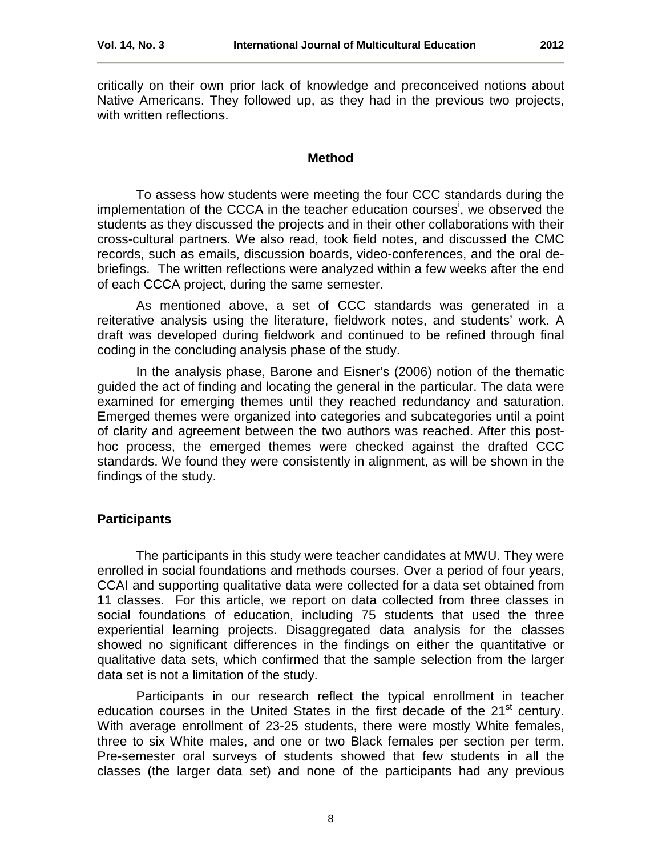critically on their own prior lack of knowledge and preconceived notions about Native Americans. They followed up, as they had in the previous two projects, with written reflections.

#### **Method**

<span id="page-7-0"></span>To assess how students were meeting the four CCC standards during the [i](#page-21-0)mplementation of the CCCA in the teacher education courses<sup>i</sup>, we observed the students as they discussed the projects and in their other collaborations with their cross-cultural partners. We also read, took field notes, and discussed the CMC records, such as emails, discussion boards, video-conferences, and the oral debriefings. The written reflections were analyzed within a few weeks after the end of each CCCA project, during the same semester.

As mentioned above, a set of CCC standards was generated in a reiterative analysis using the literature, fieldwork notes, and students' work. A draft was developed during fieldwork and continued to be refined through final coding in the concluding analysis phase of the study.

In the analysis phase, Barone and Eisner's (2006) notion of the thematic guided the act of finding and locating the general in the particular. The data were examined for emerging themes until they reached redundancy and saturation. Emerged themes were organized into categories and subcategories until a point of clarity and agreement between the two authors was reached. After this posthoc process, the emerged themes were checked against the drafted CCC standards. We found they were consistently in alignment, as will be shown in the findings of the study.

# **Participants**

The participants in this study were teacher candidates at MWU. They were enrolled in social foundations and methods courses. Over a period of four years, CCAI and supporting qualitative data were collected for a data set obtained from 11 classes. For this article, we report on data collected from three classes in social foundations of education, including 75 students that used the three experiential learning projects. Disaggregated data analysis for the classes showed no significant differences in the findings on either the quantitative or qualitative data sets, which confirmed that the sample selection from the larger data set is not a limitation of the study.

Participants in our research reflect the typical enrollment in teacher education courses in the United States in the first decade of the  $21<sup>st</sup>$  century. With average enrollment of 23-25 students, there were mostly White females, three to six White males, and one or two Black females per section per term. Pre-semester oral surveys of students showed that few students in all the classes (the larger data set) and none of the participants had any previous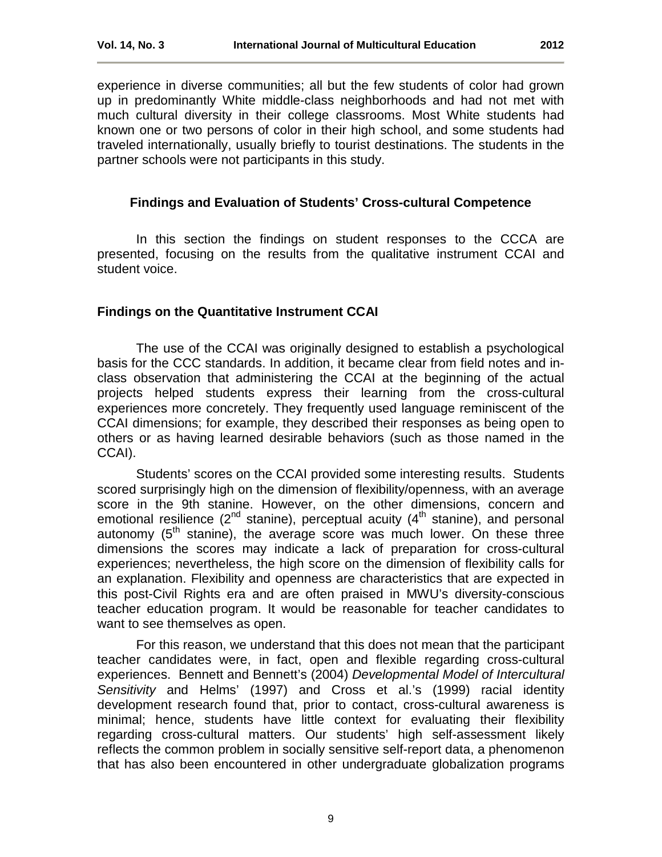experience in diverse communities; all but the few students of color had grown up in predominantly White middle-class neighborhoods and had not met with much cultural diversity in their college classrooms. Most White students had known one or two persons of color in their high school, and some students had traveled internationally, usually briefly to tourist destinations. The students in the partner schools were not participants in this study.

# <span id="page-8-0"></span>**Findings and Evaluation of Students' Cross-cultural Competence**

In this section the findings on student responses to the CCCA are presented, focusing on the results from the qualitative instrument CCAI and student voice.

#### **Findings on the Quantitative Instrument CCAI**

The use of the CCAI was originally designed to establish a psychological basis for the CCC standards. In addition, it became clear from field notes and inclass observation that administering the CCAI at the beginning of the actual projects helped students express their learning from the cross-cultural experiences more concretely. They frequently used language reminiscent of the CCAI dimensions; for example, they described their responses as being open to others or as having learned desirable behaviors (such as those named in the CCAI).

Students' scores on the CCAI provided some interesting results. Students scored surprisingly high on the dimension of flexibility/openness, with an average score in the 9th stanine. However, on the other dimensions, concern and emotional resilience ( $2^{nd}$  stanine), perceptual acuity ( $4^{th}$  stanine), and personal autonomy  $(5<sup>th</sup>$  stanine), the average score was much lower. On these three dimensions the scores may indicate a lack of preparation for cross-cultural experiences; nevertheless, the high score on the dimension of flexibility calls for an explanation. Flexibility and openness are characteristics that are expected in this post-Civil Rights era and are often praised in MWU's diversity-conscious teacher education program. It would be reasonable for teacher candidates to want to see themselves as open.

For this reason, we understand that this does not mean that the participant teacher candidates were, in fact, open and flexible regarding cross-cultural experiences. Bennett and Bennett's (2004) *Developmental Model of Intercultural Sensitivity* and Helms' (1997) and Cross et al.'s (1999) racial identity development research found that, prior to contact, cross-cultural awareness is minimal; hence, students have little context for evaluating their flexibility regarding cross-cultural matters. Our students' high self-assessment likely reflects the common problem in socially sensitive self-report data, a phenomenon that has also been encountered in other undergraduate globalization programs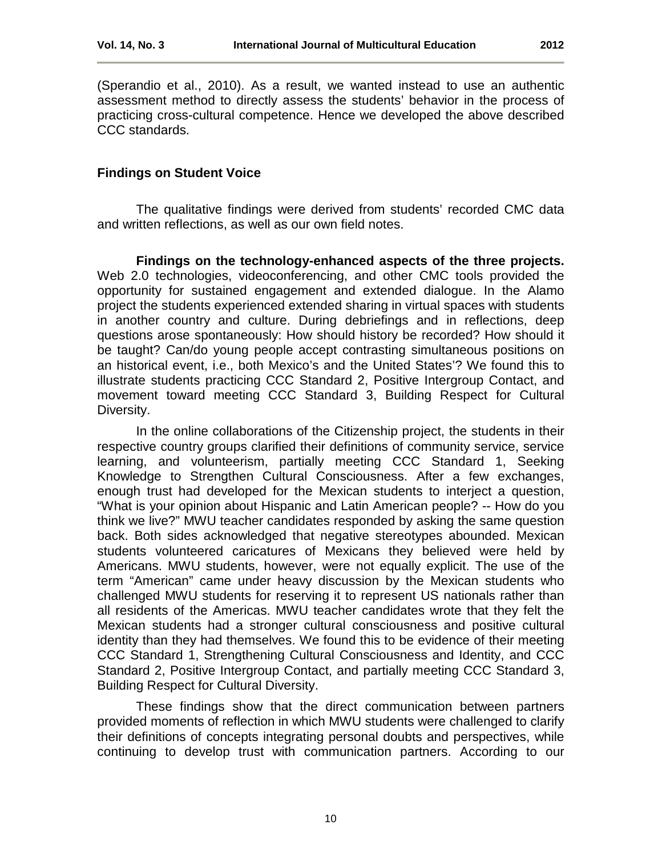(Sperandio et al., 2010). As a result, we wanted instead to use an authentic assessment method to directly assess the students' behavior in the process of practicing cross-cultural competence. Hence we developed the above described CCC standards.

# **Findings on Student Voice**

The qualitative findings were derived from students' recorded CMC data and written reflections, as well as our own field notes.

**Findings on the technology-enhanced aspects of the three projects.**  Web 2.0 technologies, videoconferencing, and other CMC tools provided the opportunity for sustained engagement and extended dialogue. In the Alamo project the students experienced extended sharing in virtual spaces with students in another country and culture. During debriefings and in reflections, deep questions arose spontaneously: How should history be recorded? How should it be taught? Can/do young people accept contrasting simultaneous positions on an historical event, i.e., both Mexico's and the United States'? We found this to illustrate students practicing CCC Standard 2, Positive Intergroup Contact, and movement toward meeting CCC Standard 3, Building Respect for Cultural Diversity.

In the online collaborations of the Citizenship project, the students in their respective country groups clarified their definitions of community service, service learning, and volunteerism, partially meeting CCC Standard 1, Seeking Knowledge to Strengthen Cultural Consciousness. After a few exchanges, enough trust had developed for the Mexican students to interject a question, "What is your opinion about Hispanic and Latin American people? -- How do you think we live?" MWU teacher candidates responded by asking the same question back. Both sides acknowledged that negative stereotypes abounded. Mexican students volunteered caricatures of Mexicans they believed were held by Americans. MWU students, however, were not equally explicit. The use of the term "American" came under heavy discussion by the Mexican students who challenged MWU students for reserving it to represent US nationals rather than all residents of the Americas. MWU teacher candidates wrote that they felt the Mexican students had a stronger cultural consciousness and positive cultural identity than they had themselves. We found this to be evidence of their meeting CCC Standard 1, Strengthening Cultural Consciousness and Identity, and CCC Standard 2, Positive Intergroup Contact, and partially meeting CCC Standard 3, Building Respect for Cultural Diversity.

These findings show that the direct communication between partners provided moments of reflection in which MWU students were challenged to clarify their definitions of concepts integrating personal doubts and perspectives, while continuing to develop trust with communication partners. According to our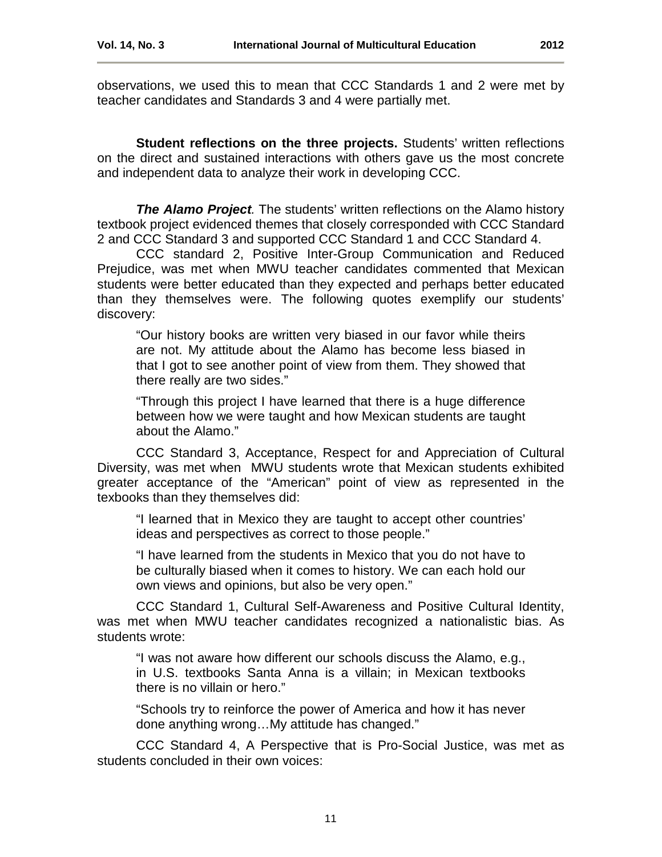observations, we used this to mean that CCC Standards 1 and 2 were met by teacher candidates and Standards 3 and 4 were partially met.

**Student reflections on the three projects.** Students' written reflections on the direct and sustained interactions with others gave us the most concrete and independent data to analyze their work in developing CCC.

*The Alamo Project.* The students' written reflections on the Alamo history textbook project evidenced themes that closely corresponded with CCC Standard 2 and CCC Standard 3 and supported CCC Standard 1 and CCC Standard 4.

CCC standard 2, Positive Inter-Group Communication and Reduced Prejudice, was met when MWU teacher candidates commented that Mexican students were better educated than they expected and perhaps better educated than they themselves were. The following quotes exemplify our students' discovery:

"Our history books are written very biased in our favor while theirs are not. My attitude about the Alamo has become less biased in that I got to see another point of view from them. They showed that there really are two sides."

"Through this project I have learned that there is a huge difference between how we were taught and how Mexican students are taught about the Alamo."

CCC Standard 3, Acceptance, Respect for and Appreciation of Cultural Diversity, was met when MWU students wrote that Mexican students exhibited greater acceptance of the "American" point of view as represented in the texbooks than they themselves did:

"I learned that in Mexico they are taught to accept other countries' ideas and perspectives as correct to those people."

"I have learned from the students in Mexico that you do not have to be culturally biased when it comes to history. We can each hold our own views and opinions, but also be very open."

CCC Standard 1, Cultural Self-Awareness and Positive Cultural Identity, was met when MWU teacher candidates recognized a nationalistic bias. As students wrote:

"I was not aware how different our schools discuss the Alamo, e.g., in U.S. textbooks Santa Anna is a villain; in Mexican textbooks there is no villain or hero."

"Schools try to reinforce the power of America and how it has never done anything wrong…My attitude has changed."

CCC Standard 4, A Perspective that is Pro-Social Justice, was met as students concluded in their own voices: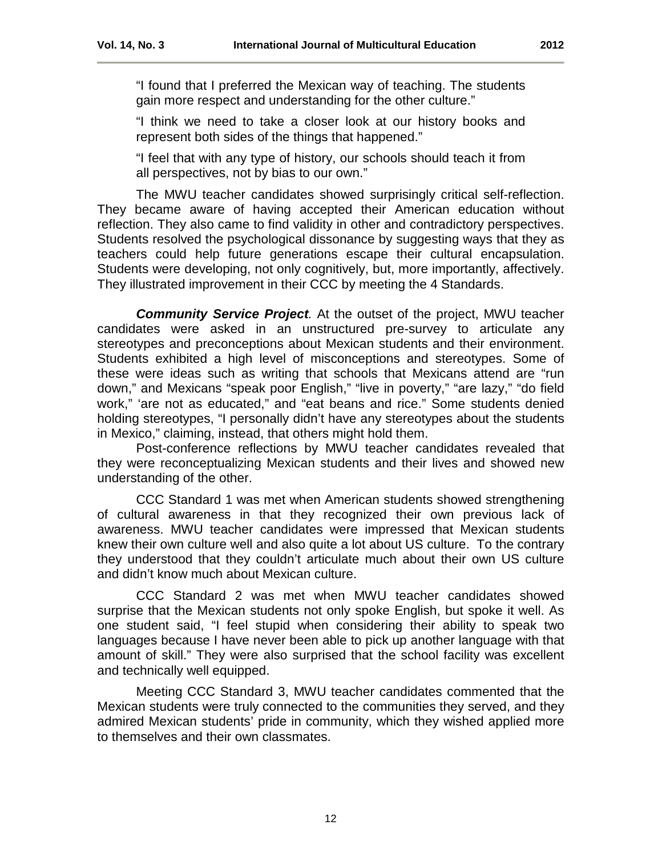"I found that I preferred the Mexican way of teaching. The students gain more respect and understanding for the other culture."

"I think we need to take a closer look at our history books and represent both sides of the things that happened."

"I feel that with any type of history, our schools should teach it from all perspectives, not by bias to our own."

The MWU teacher candidates showed surprisingly critical self-reflection. They became aware of having accepted their American education without reflection. They also came to find validity in other and contradictory perspectives. Students resolved the psychological dissonance by suggesting ways that they as teachers could help future generations escape their cultural encapsulation. Students were developing, not only cognitively, but, more importantly, affectively. They illustrated improvement in their CCC by meeting the 4 Standards.

*Community Service Project.* At the outset of the project, MWU teacher candidates were asked in an unstructured pre-survey to articulate any stereotypes and preconceptions about Mexican students and their environment. Students exhibited a high level of misconceptions and stereotypes. Some of these were ideas such as writing that schools that Mexicans attend are "run down," and Mexicans "speak poor English," "live in poverty," "are lazy," "do field work," 'are not as educated," and "eat beans and rice." Some students denied holding stereotypes, "I personally didn't have any stereotypes about the students in Mexico," claiming, instead, that others might hold them.

Post-conference reflections by MWU teacher candidates revealed that they were reconceptualizing Mexican students and their lives and showed new understanding of the other.

CCC Standard 1 was met when American students showed strengthening of cultural awareness in that they recognized their own previous lack of awareness. MWU teacher candidates were impressed that Mexican students knew their own culture well and also quite a lot about US culture. To the contrary they understood that they couldn't articulate much about their own US culture and didn't know much about Mexican culture.

CCC Standard 2 was met when MWU teacher candidates showed surprise that the Mexican students not only spoke English, but spoke it well. As one student said, "I feel stupid when considering their ability to speak two languages because I have never been able to pick up another language with that amount of skill." They were also surprised that the school facility was excellent and technically well equipped.

Meeting CCC Standard 3, MWU teacher candidates commented that the Mexican students were truly connected to the communities they served, and they admired Mexican students' pride in community, which they wished applied more to themselves and their own classmates.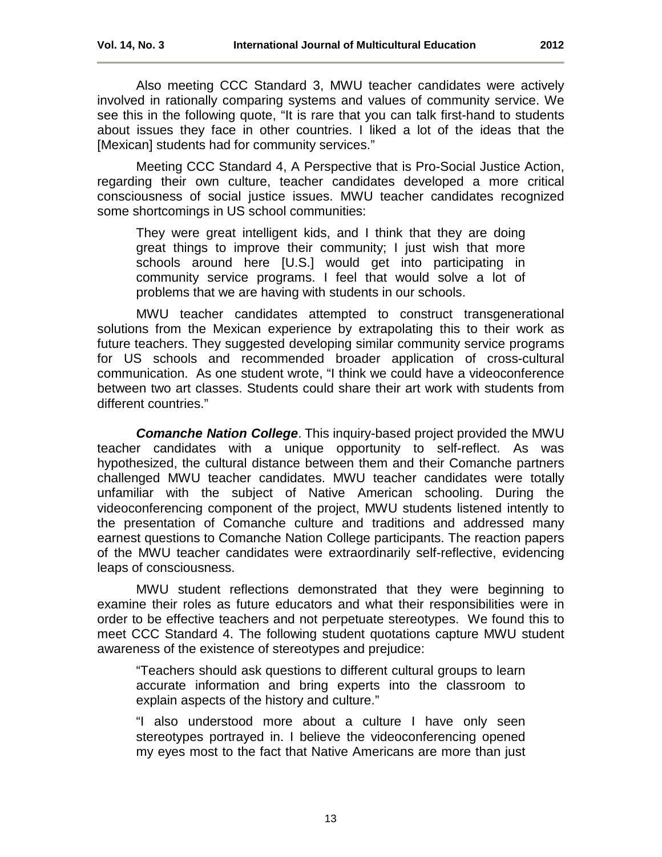Also meeting CCC Standard 3, MWU teacher candidates were actively involved in rationally comparing systems and values of community service. We see this in the following quote, "It is rare that you can talk first-hand to students about issues they face in other countries. I liked a lot of the ideas that the [Mexican] students had for community services."

Meeting CCC Standard 4, A Perspective that is Pro-Social Justice Action, regarding their own culture, teacher candidates developed a more critical consciousness of social justice issues. MWU teacher candidates recognized some shortcomings in US school communities:

They were great intelligent kids, and I think that they are doing great things to improve their community; I just wish that more schools around here [U.S.] would get into participating in community service programs. I feel that would solve a lot of problems that we are having with students in our schools.

MWU teacher candidates attempted to construct transgenerational solutions from the Mexican experience by extrapolating this to their work as future teachers. They suggested developing similar community service programs for US schools and recommended broader application of cross-cultural communication. As one student wrote, "I think we could have a videoconference between two art classes. Students could share their art work with students from different countries."

*Comanche Nation College*. This inquiry-based project provided the MWU teacher candidates with a unique opportunity to self-reflect. As was hypothesized, the cultural distance between them and their Comanche partners challenged MWU teacher candidates. MWU teacher candidates were totally unfamiliar with the subject of Native American schooling. During the videoconferencing component of the project, MWU students listened intently to the presentation of Comanche culture and traditions and addressed many earnest questions to Comanche Nation College participants. The reaction papers of the MWU teacher candidates were extraordinarily self-reflective, evidencing leaps of consciousness.

MWU student reflections demonstrated that they were beginning to examine their roles as future educators and what their responsibilities were in order to be effective teachers and not perpetuate stereotypes. We found this to meet CCC Standard 4. The following student quotations capture MWU student awareness of the existence of stereotypes and prejudice:

"Teachers should ask questions to different cultural groups to learn accurate information and bring experts into the classroom to explain aspects of the history and culture."

"I also understood more about a culture I have only seen stereotypes portrayed in. I believe the videoconferencing opened my eyes most to the fact that Native Americans are more than just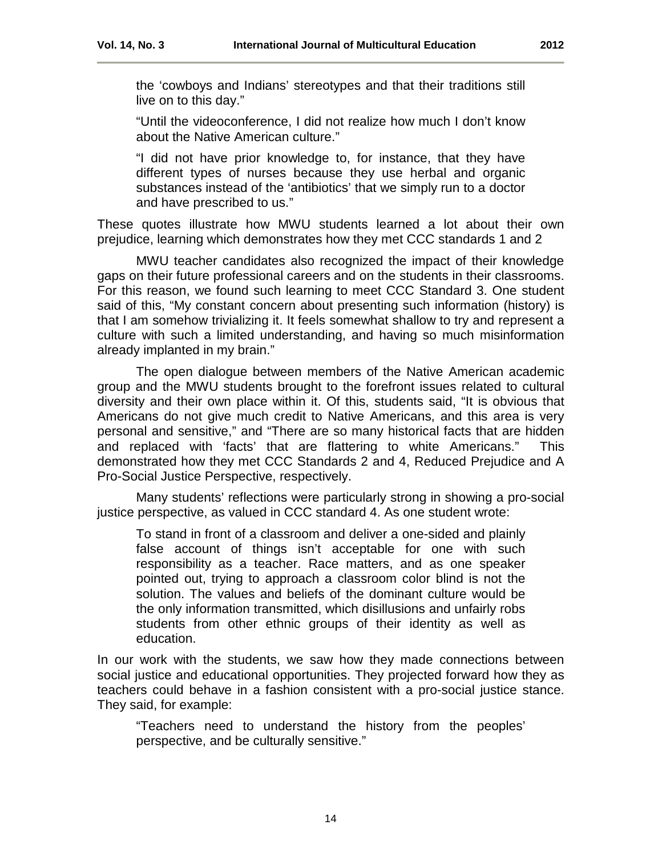the 'cowboys and Indians' stereotypes and that their traditions still live on to this day."

"Until the videoconference, I did not realize how much I don't know about the Native American culture."

"I did not have prior knowledge to, for instance, that they have different types of nurses because they use herbal and organic substances instead of the 'antibiotics' that we simply run to a doctor and have prescribed to us."

These quotes illustrate how MWU students learned a lot about their own prejudice, learning which demonstrates how they met CCC standards 1 and 2

MWU teacher candidates also recognized the impact of their knowledge gaps on their future professional careers and on the students in their classrooms. For this reason, we found such learning to meet CCC Standard 3. One student said of this, "My constant concern about presenting such information (history) is that I am somehow trivializing it. It feels somewhat shallow to try and represent a culture with such a limited understanding, and having so much misinformation already implanted in my brain."

The open dialogue between members of the Native American academic group and the MWU students brought to the forefront issues related to cultural diversity and their own place within it. Of this, students said, "It is obvious that Americans do not give much credit to Native Americans, and this area is very personal and sensitive," and "There are so many historical facts that are hidden and replaced with 'facts' that are flattering to white Americans." This demonstrated how they met CCC Standards 2 and 4, Reduced Prejudice and A Pro-Social Justice Perspective, respectively.

Many students' reflections were particularly strong in showing a pro-social justice perspective, as valued in CCC standard 4. As one student wrote:

To stand in front of a classroom and deliver a one-sided and plainly false account of things isn't acceptable for one with such responsibility as a teacher. Race matters, and as one speaker pointed out, trying to approach a classroom color blind is not the solution. The values and beliefs of the dominant culture would be the only information transmitted, which disillusions and unfairly robs students from other ethnic groups of their identity as well as education.

In our work with the students, we saw how they made connections between social justice and educational opportunities. They projected forward how they as teachers could behave in a fashion consistent with a pro-social justice stance. They said, for example:

"Teachers need to understand the history from the peoples' perspective, and be culturally sensitive."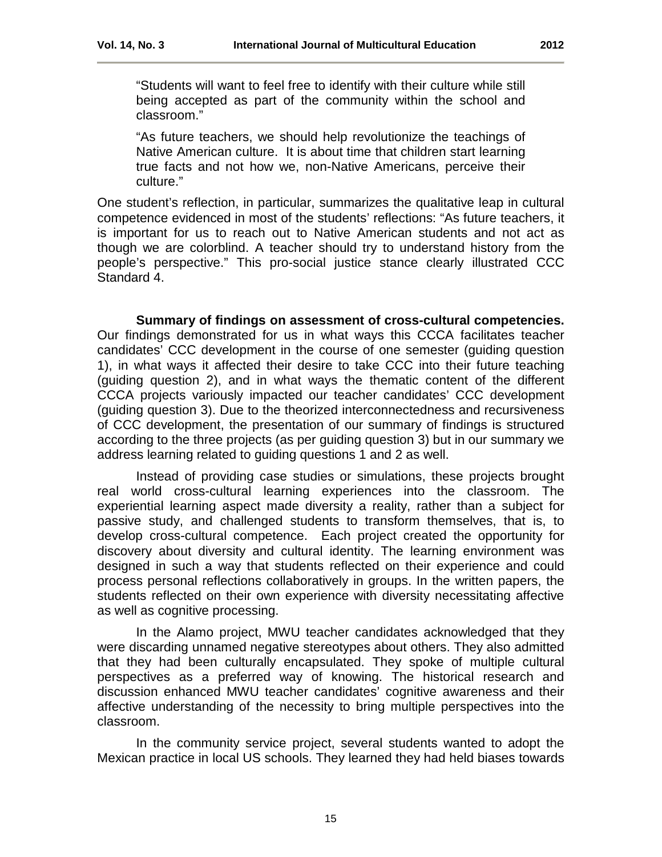"Students will want to feel free to identify with their culture while still being accepted as part of the community within the school and classroom."

"As future teachers, we should help revolutionize the teachings of Native American culture. It is about time that children start learning true facts and not how we, non-Native Americans, perceive their culture."

One student's reflection, in particular, summarizes the qualitative leap in cultural competence evidenced in most of the students' reflections: "As future teachers, it is important for us to reach out to Native American students and not act as though we are colorblind. A teacher should try to understand history from the people's perspective." This pro-social justice stance clearly illustrated CCC Standard 4.

**Summary of findings on assessment of cross-cultural competencies.**  Our findings demonstrated for us in what ways this CCCA facilitates teacher candidates' CCC development in the course of one semester (guiding question 1), in what ways it affected their desire to take CCC into their future teaching (guiding question 2), and in what ways the thematic content of the different CCCA projects variously impacted our teacher candidates' CCC development (guiding question 3). Due to the theorized interconnectedness and recursiveness of CCC development, the presentation of our summary of findings is structured according to the three projects (as per guiding question 3) but in our summary we address learning related to guiding questions 1 and 2 as well.

Instead of providing case studies or simulations, these projects brought real world cross-cultural learning experiences into the classroom. The experiential learning aspect made diversity a reality, rather than a subject for passive study, and challenged students to transform themselves, that is, to develop cross-cultural competence. Each project created the opportunity for discovery about diversity and cultural identity. The learning environment was designed in such a way that students reflected on their experience and could process personal reflections collaboratively in groups. In the written papers, the students reflected on their own experience with diversity necessitating affective as well as cognitive processing.

In the Alamo project, MWU teacher candidates acknowledged that they were discarding unnamed negative stereotypes about others. They also admitted that they had been culturally encapsulated. They spoke of multiple cultural perspectives as a preferred way of knowing. The historical research and discussion enhanced MWU teacher candidates' cognitive awareness and their affective understanding of the necessity to bring multiple perspectives into the classroom.

In the community service project, several students wanted to adopt the Mexican practice in local US schools. They learned they had held biases towards

15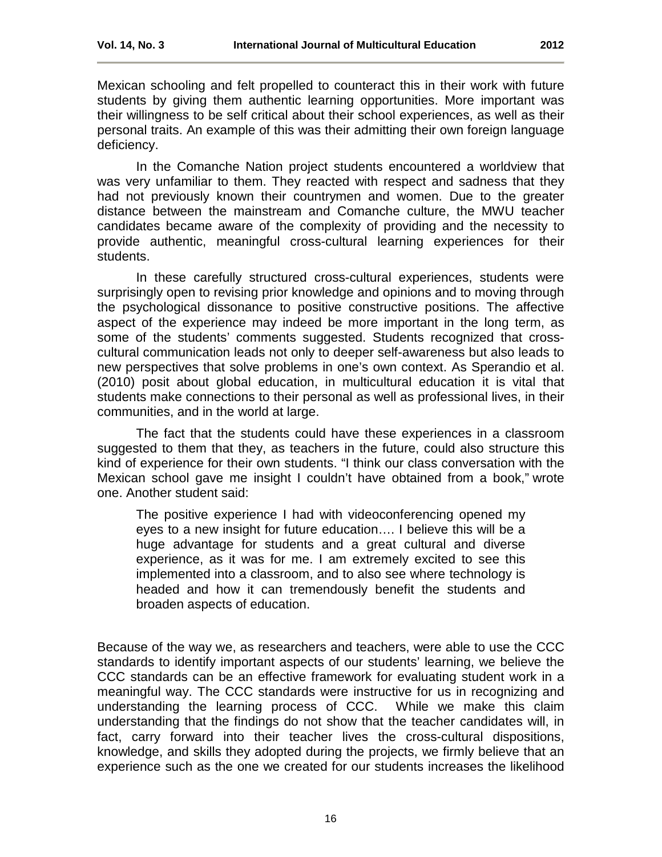Mexican schooling and felt propelled to counteract this in their work with future students by giving them authentic learning opportunities. More important was their willingness to be self critical about their school experiences, as well as their personal traits. An example of this was their admitting their own foreign language deficiency.

In the Comanche Nation project students encountered a worldview that was very unfamiliar to them. They reacted with respect and sadness that they had not previously known their countrymen and women. Due to the greater distance between the mainstream and Comanche culture, the MWU teacher candidates became aware of the complexity of providing and the necessity to provide authentic, meaningful cross-cultural learning experiences for their students.

In these carefully structured cross-cultural experiences, students were surprisingly open to revising prior knowledge and opinions and to moving through the psychological dissonance to positive constructive positions. The affective aspect of the experience may indeed be more important in the long term, as some of the students' comments suggested. Students recognized that crosscultural communication leads not only to deeper self-awareness but also leads to new perspectives that solve problems in one's own context. As Sperandio et al. (2010) posit about global education, in multicultural education it is vital that students make connections to their personal as well as professional lives, in their communities, and in the world at large.

The fact that the students could have these experiences in a classroom suggested to them that they, as teachers in the future, could also structure this kind of experience for their own students. "I think our class conversation with the Mexican school gave me insight I couldn't have obtained from a book," wrote one. Another student said:

The positive experience I had with videoconferencing opened my eyes to a new insight for future education…. I believe this will be a huge advantage for students and a great cultural and diverse experience, as it was for me. I am extremely excited to see this implemented into a classroom, and to also see where technology is headed and how it can tremendously benefit the students and broaden aspects of education.

Because of the way we, as researchers and teachers, were able to use the CCC standards to identify important aspects of our students' learning, we believe the CCC standards can be an effective framework for evaluating student work in a meaningful way. The CCC standards were instructive for us in recognizing and understanding the learning process of CCC. While we make this claim understanding that the findings do not show that the teacher candidates will, in fact, carry forward into their teacher lives the cross-cultural dispositions, knowledge, and skills they adopted during the projects, we firmly believe that an experience such as the one we created for our students increases the likelihood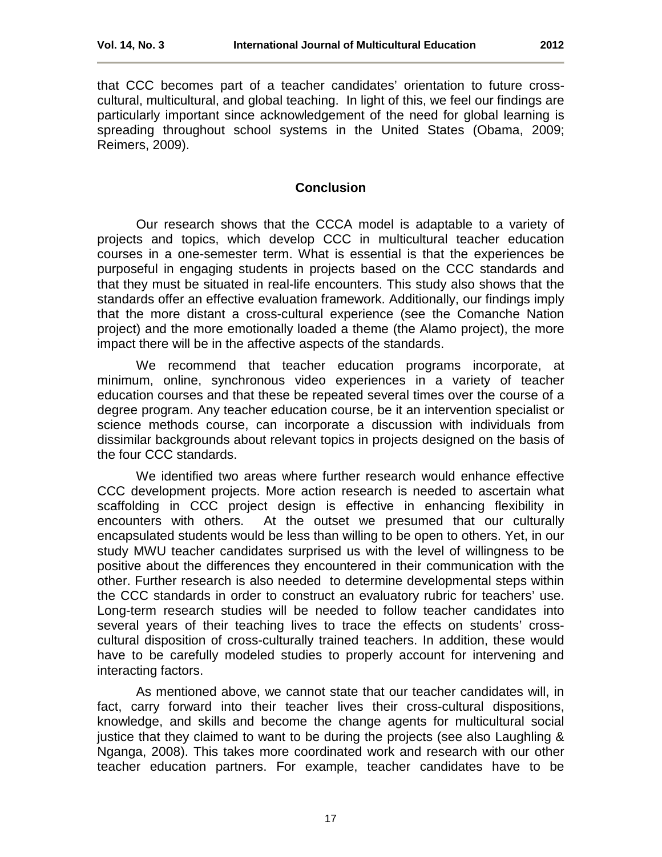that CCC becomes part of a teacher candidates' orientation to future crosscultural, multicultural, and global teaching. In light of this, we feel our findings are particularly important since acknowledgement of the need for global learning is spreading throughout school systems in the United States (Obama, 2009; Reimers, 2009).

# **Conclusion**

<span id="page-16-0"></span>Our research shows that the CCCA model is adaptable to a variety of projects and topics, which develop CCC in multicultural teacher education courses in a one-semester term. What is essential is that the experiences be purposeful in engaging students in projects based on the CCC standards and that they must be situated in real-life encounters. This study also shows that the standards offer an effective evaluation framework. Additionally, our findings imply that the more distant a cross-cultural experience (see the Comanche Nation project) and the more emotionally loaded a theme (the Alamo project), the more impact there will be in the affective aspects of the standards.

We recommend that teacher education programs incorporate, at minimum, online, synchronous video experiences in a variety of teacher education courses and that these be repeated several times over the course of a degree program. Any teacher education course, be it an intervention specialist or science methods course, can incorporate a discussion with individuals from dissimilar backgrounds about relevant topics in projects designed on the basis of the four CCC standards.

We identified two areas where further research would enhance effective CCC development projects. More action research is needed to ascertain what scaffolding in CCC project design is effective in enhancing flexibility in encounters with others. At the outset we presumed that our culturally encapsulated students would be less than willing to be open to others. Yet, in our study MWU teacher candidates surprised us with the level of willingness to be positive about the differences they encountered in their communication with the other. Further research is also needed to determine developmental steps within the CCC standards in order to construct an evaluatory rubric for teachers' use. Long-term research studies will be needed to follow teacher candidates into several years of their teaching lives to trace the effects on students' crosscultural disposition of cross-culturally trained teachers. In addition, these would have to be carefully modeled studies to properly account for intervening and interacting factors.

As mentioned above, we cannot state that our teacher candidates will, in fact, carry forward into their teacher lives their cross-cultural dispositions, knowledge, and skills and become the change agents for multicultural social justice that they claimed to want to be during the projects (see also Laughling & Nganga, 2008). This takes more coordinated work and research with our other teacher education partners. For example, teacher candidates have to be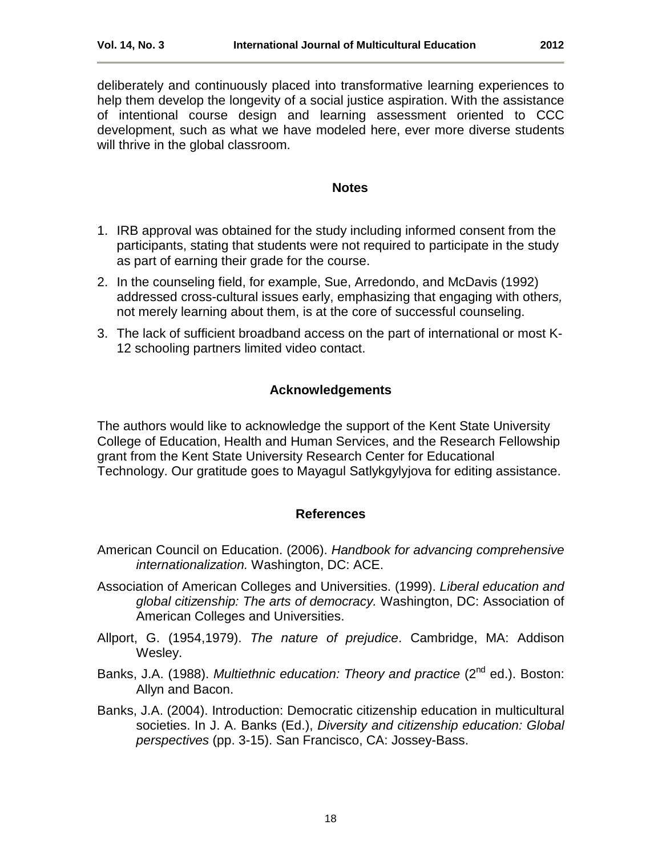# **Notes**

- <span id="page-17-2"></span><span id="page-17-0"></span>1. IRB approval was obtained for the study including informed consent from the participants, stating that students were not required to participate in the study as part of earning their grade for the course.
- <span id="page-17-3"></span>2. In the counseling field, for example, Sue, Arredondo, and McDavis (1992) addressed cross-cultural issues early, emphasizing that engaging with other*s,* not merely learning about them, is at the core of successful counseling.
- <span id="page-17-4"></span>3. The lack of sufficient broadband access on the part of international or most K-12 schooling partners limited video contact.

# **Acknowledgements**

The authors would like to acknowledge the support of the Kent State University College of Education, Health and Human Services, and the Research Fellowship grant from the Kent State University Research Center for Educational Technology. Our gratitude goes to Mayagul Satlykgylyjova for editing assistance.

# **References**

- <span id="page-17-1"></span>American Council on Education. (2006). *Handbook for advancing comprehensive internationalization.* Washington, DC: ACE.
- Association of American Colleges and Universities. (1999). *Liberal education and global citizenship: The arts of democracy.* Washington, DC: Association of American Colleges and Universities.
- Allport, G. (1954,1979). *The nature of prejudice*. Cambridge, MA: Addison Wesley.
- Banks, J.A. (1988). *Multiethnic education: Theory and practice* (2<sup>nd</sup> ed.). Boston: Allyn and Bacon.
- Banks, J.A. (2004). Introduction: Democratic citizenship education in multicultural societies. In J. A. Banks (Ed.), *Diversity and citizenship education: Global perspectives* (pp. 3-15). San Francisco, CA: Jossey-Bass.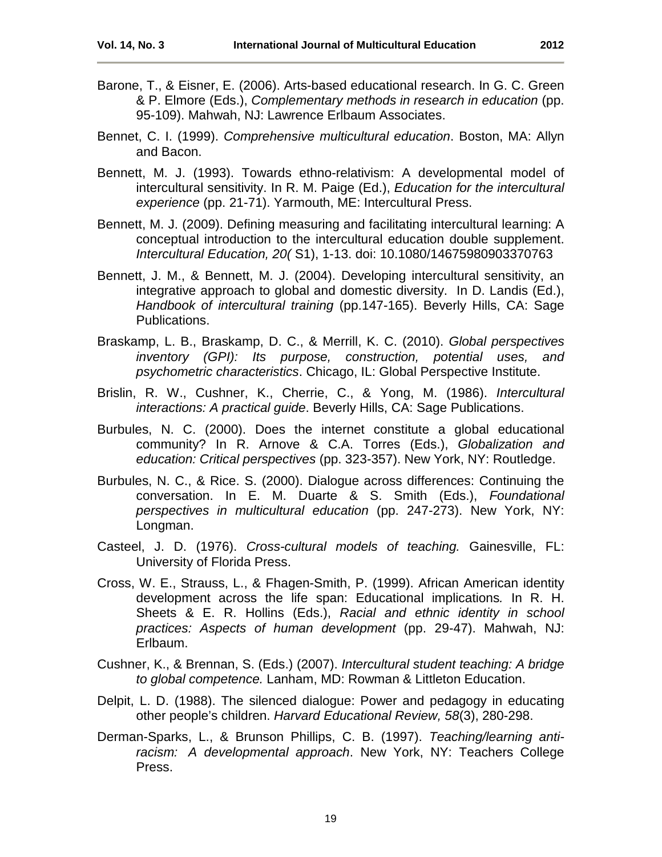- Barone, T., & Eisner, E. (2006). Arts-based educational research. In G. C. Green & P. Elmore (Eds.), *Complementary methods in research in education* (pp. 95-109). Mahwah, NJ: Lawrence Erlbaum Associates.
- Bennet, C. I. (1999). *Comprehensive multicultural education*. Boston, MA: Allyn and Bacon.
- Bennett, M. J. (1993). Towards ethno-relativism: A developmental model of intercultural sensitivity. In R. M. Paige (Ed.), *Education for the intercultural experience* (pp. 21-71). Yarmouth, ME: Intercultural Press.
- Bennett, M. J. (2009). Defining measuring and facilitating intercultural learning: A conceptual introduction to the intercultural education double supplement. *Intercultural Education, 20(* S1), 1-13. doi: 10.1080/14675980903370763
- Bennett, J. M., & Bennett, M. J. (2004). Developing intercultural sensitivity, an integrative approach to global and domestic diversity. In D. Landis (Ed.), *Handbook of intercultural training* (pp.147-165). Beverly Hills, CA: Sage Publications.
- Braskamp, L. B., Braskamp, D. C., & Merrill, K. C. (2010). *Global perspectives inventory (GPI): Its purpose, construction, potential uses, and psychometric characteristics*. Chicago, IL: Global Perspective Institute.
- Brislin, R. W., Cushner, K., Cherrie, C., & Yong, M. (1986). *Intercultural interactions: A practical guide*. Beverly Hills, CA: Sage Publications.
- Burbules, N. C. (2000). Does the internet constitute a global educational community? In R. Arnove & C.A. Torres (Eds.), *Globalization and education: Critical perspectives* (pp. 323-357). New York, NY: Routledge.
- Burbules, N. C., & Rice. S. (2000). Dialogue across differences: Continuing the conversation. In E. M. Duarte & S. Smith (Eds.), *Foundational perspectives in multicultural education* (pp. 247-273). New York, NY: Longman.
- Casteel, J. D. (1976). *Cross-cultural models of teaching.* Gainesville, FL: University of Florida Press.
- Cross, W. E., Strauss, L., & Fhagen-Smith, P. (1999). African American identity development across the life span: Educational implications*.* In R. H. Sheets & E. R. Hollins (Eds.), *Racial and ethnic identity in school practices: Aspects of human development* (pp. 29-47). Mahwah, NJ: Erlbaum.
- Cushner, K., & Brennan, S. (Eds.) (2007). *Intercultural student teaching: A bridge to global competence.* Lanham, MD: Rowman & Littleton Education.
- Delpit, L. D. (1988). The silenced dialogue: Power and pedagogy in educating other people's children. *Harvard Educational Review, 58*(3), 280-298.
- Derman-Sparks, L., & Brunson Phillips, C. B. (1997). *Teaching/learning antiracism: A developmental approach*. New York, NY: Teachers College Press.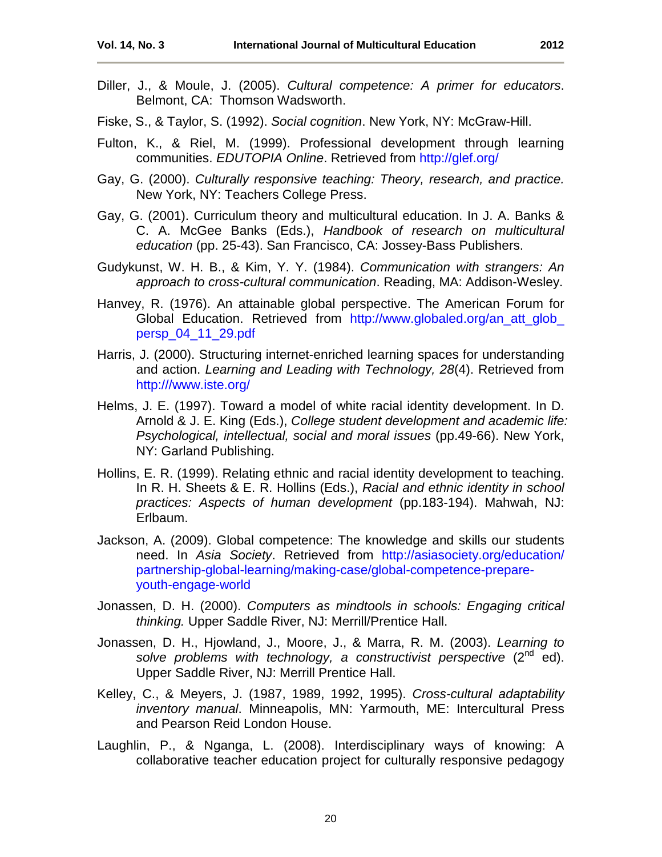- Diller, J., & Moule, J. (2005). *Cultural competence: A primer for educators*. Belmont, CA: Thomson Wadsworth.
- Fiske, S., & Taylor, S. (1992). *Social cognition*. New York, NY: McGraw-Hill.
- Fulton, K., & Riel, M. (1999). Professional development through learning communities. *EDUTOPIA Online*. Retrieved from<http://glef.org/>
- Gay, G. (2000). *Culturally responsive teaching: Theory, research, and practice.* New York, NY: Teachers College Press.
- Gay, G. (2001). Curriculum theory and multicultural education. In J. A. Banks & C. A. McGee Banks (Eds.), *Handbook of research on multicultural education* (pp. 25-43). San Francisco, CA: Jossey-Bass Publishers.
- Gudykunst, W. H. B., & Kim, Y. Y. (1984). *Communication with strangers: An approach to cross-cultural communication*. Reading, MA: Addison-Wesley.
- Hanvey, R. (1976). An attainable global perspective. The American Forum for Global Education. Retrieved from http://www.globaled.org/an att glob [persp\\_04\\_11\\_29.pdf](http://www.globaled.org/an_att_glob_%20persp_04_11_29.pdf)
- Harris, J. (2000). Structuring internet-enriched learning spaces for understanding and action. *Learning and Leading with Technology, 28*(4). Retrieved from [http:///www.iste.org/](http://www.iste.org/)
- Helms, J. E. (1997). Toward a model of white racial identity development. In D. Arnold & J. E. King (Eds.), *College student development and academic life: Psychological, intellectual, social and moral issues* (pp.49-66). New York, NY: Garland Publishing.
- Hollins, E. R. (1999). Relating ethnic and racial identity development to teaching. In R. H. Sheets & E. R. Hollins (Eds.), *Racial and ethnic identity in school practices: Aspects of human development* (pp.183-194). Mahwah, NJ: Erlbaum.
- Jackson, A. (2009). Global competence: The knowledge and skills our students need. In *Asia Society*. Retrieved from [http://asiasociety.org/education/](http://asiasociety.org/education/%20partnership-global-learning/making-case/global-competence-prepare-youth-engage-world)  [partnership-global-learning/making-case/global-competence-prepare](http://asiasociety.org/education/%20partnership-global-learning/making-case/global-competence-prepare-youth-engage-world)[youth-engage-world](http://asiasociety.org/education/%20partnership-global-learning/making-case/global-competence-prepare-youth-engage-world)
- Jonassen, D. H. (2000). *Computers as mindtools in schools: Engaging critical thinking.* Upper Saddle River, NJ: Merrill/Prentice Hall.
- Jonassen, D. H., Hjowland, J., Moore, J., & Marra, R. M. (2003). *Learning to solve problems with technology, a constructivist perspective* (2nd ed). Upper Saddle River, NJ: Merrill Prentice Hall.
- Kelley, C., & Meyers, J. (1987, 1989, 1992, 1995). *Cross-cultural adaptability inventory manual*. Minneapolis, MN: Yarmouth, ME: Intercultural Press and Pearson Reid London House.
- Laughlin, P., & Nganga, L. (2008). Interdisciplinary ways of knowing: A collaborative teacher education project for culturally responsive pedagogy

20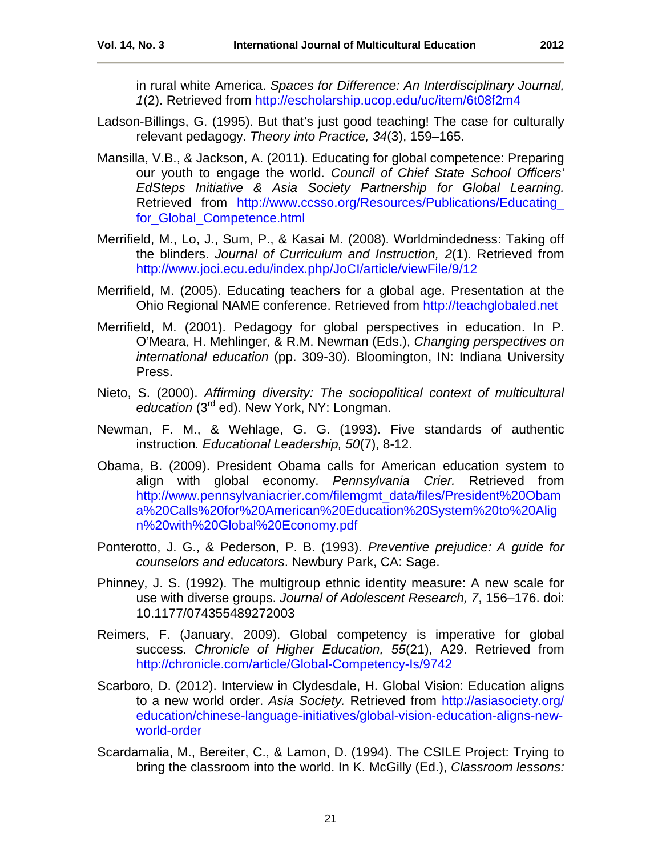in rural white America. *Spaces for Difference: An Interdisciplinary Journal, 1*(2). Retrieved from<http://escholarship.ucop.edu/uc/item/6t08f2m4>

- Ladson-Billings, G. (1995). But that's just good teaching! The case for culturally relevant pedagogy. *Theory into Practice, 34*(3), 159–165.
- Mansilla, V.B., & Jackson, A. (2011). Educating for global competence: Preparing our youth to engage the world. *Council of Chief State School Officers' EdSteps Initiative & Asia Society Partnership for Global Learning.* Retrieved from [http://www.ccsso.org/Resources/Publications/Educating\\_](http://www.ccsso.org/Resources/Publications/Educating_%20for_Global_Competence.html)  [for\\_Global\\_Competence.html](http://www.ccsso.org/Resources/Publications/Educating_%20for_Global_Competence.html)
- Merrifield, M., Lo, J., Sum, P., & Kasai M. (2008). Worldmindedness: Taking off the blinders. *Journal of Curriculum and Instruction, 2*(1). Retrieved from <http://www.joci.ecu.edu/index.php/JoCI/article/viewFile/9/12>
- Merrifield, M. (2005). Educating teachers for a global age. Presentation at the Ohio Regional NAME conference. Retrieved from [http://teachglobaled.net](http://teachglobaled.net/)
- Merrifield, M. (2001). Pedagogy for global perspectives in education. In P. O'Meara, H. Mehlinger, & R.M. Newman (Eds.), *Changing perspectives on international education* (pp. 309-30). Bloomington, IN: Indiana University Press.
- Nieto, S. (2000). *Affirming diversity: The sociopolitical context of multicultural education* (3rd ed). New York, NY: Longman.
- Newman, F. M., & Wehlage, G. G. (1993). Five standards of authentic instruction*. Educational Leadership, 50*(7), 8-12.
- Obama, B. (2009). President Obama calls for American education system to align with global economy. *Pennsylvania Crier.* Retrieved from [http://www.pennsylvaniacrier.com/filemgmt\\_data/files/President%20Obam](http://www.pennsylvaniacrier.com/filemgmt_data/files/President%20Obama%20Calls%20for%20American%20Education%20System%20to%20Align%20with%20Global%20Economy.pdf) [a%20Calls%20for%20American%20Education%20System%20to%20Alig](http://www.pennsylvaniacrier.com/filemgmt_data/files/President%20Obama%20Calls%20for%20American%20Education%20System%20to%20Align%20with%20Global%20Economy.pdf) [n%20with%20Global%20Economy.pdf](http://www.pennsylvaniacrier.com/filemgmt_data/files/President%20Obama%20Calls%20for%20American%20Education%20System%20to%20Align%20with%20Global%20Economy.pdf)
- Ponterotto, J. G., & Pederson, P. B. (1993). *Preventive prejudice: A guide for counselors and educators*. Newbury Park, CA: Sage.
- Phinney, J. S. (1992). The multigroup ethnic identity measure: A new scale for use with diverse groups. *Journal of Adolescent Research, 7*, 156–176. doi: 10.1177/074355489272003
- Reimers, F. (January, 2009). Global competency is imperative for global success. *Chronicle of Higher Education, 55*(21), A29. Retrieved from <http://chronicle.com/article/Global-Competency-Is/9742>
- Scarboro, D. (2012). Interview in Clydesdale, H. Global Vision: Education aligns to a new world order. *Asia Society.* Retrieved from [http://asiasociety.org/](http://asiasociety.org/%20education/chinese-language-initiatives/global-vision-education-aligns-new-world-order)  [education/chinese-language-initiatives/global-vision-education-aligns-new](http://asiasociety.org/%20education/chinese-language-initiatives/global-vision-education-aligns-new-world-order)[world-order](http://asiasociety.org/%20education/chinese-language-initiatives/global-vision-education-aligns-new-world-order)
- Scardamalia, M., Bereiter, C., & Lamon, D. (1994). The CSILE Project: Trying to bring the classroom into the world. In K. McGilly (Ed.), *Classroom lessons:*